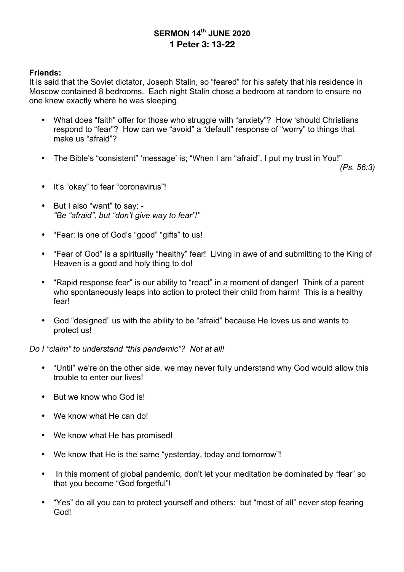# **SERMON 14th JUNE 2020 1 Peter 3: 13-22**

#### **Friends:**

It is said that the Soviet dictator, Joseph Stalin, so "feared" for his safety that his residence in Moscow contained 8 bedrooms. Each night Stalin chose a bedroom at random to ensure no one knew exactly where he was sleeping.

- What does "faith" offer for those who struggle with "anxiety"? How 'should Christians respond to "fear"? How can we "avoid" a "default" response of "worry" to things that make us "afraid"?
- The Bible's "consistent" 'message' is; "When I am "afraid", I put my trust in You!"

*(Ps. 56:3)*

- It's "okay" to fear "coronavirus"!
- But I also "want" to say: *"Be "afraid", but "don't give way to fear"!"*
- "Fear: is one of God's "good" "gifts" to us!
- "Fear of God" is a spiritually "healthy" fear! Living in awe of and submitting to the King of Heaven is a good and holy thing to do!
- "Rapid response fear" is our ability to "react" in a moment of danger! Think of a parent who spontaneously leaps into action to protect their child from harm! This is a healthy fear!
- God "designed" us with the ability to be "afraid" because He loves us and wants to protect us!

### *Do I "claim" to understand "this pandemic"? Not at all!*

- "Until" we're on the other side, we may never fully understand why God would allow this trouble to enter our lives!
- But we know who God is!
- We know what He can do!
- We know what He has promised!
- We know that He is the same "yesterday, today and tomorrow"!
- In this moment of global pandemic, don't let your meditation be dominated by "fear" so that you become "God forgetful"!
- "Yes" do all you can to protect yourself and others: but "most of all" never stop fearing God!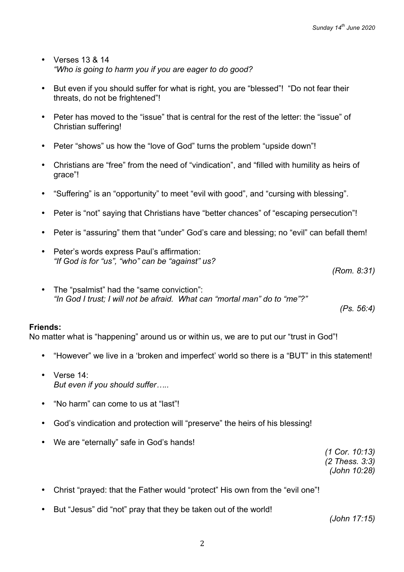- Verses 13 & 14 *"Who is going to harm you if you are eager to do good?*
- But even if you should suffer for what is right, you are "blessed"! "Do not fear their threats, do not be frightened"!
- Peter has moved to the "issue" that is central for the rest of the letter: the "issue" of Christian suffering!
- Peter "shows" us how the "love of God" turns the problem "upside down"!
- Christians are "free" from the need of "vindication", and "filled with humility as heirs of grace"!
- "Suffering" is an "opportunity" to meet "evil with good", and "cursing with blessing".
- Peter is "not" saying that Christians have "better chances" of "escaping persecution"!
- Peter is "assuring" them that "under" God's care and blessing; no "evil" can befall them!
- Peter's words express Paul's affirmation: *"If God is for "us", "who" can be "against" us?*

*(Rom. 8:31)*

The "psalmist" had the "same conviction": *"In God I trust; I will not be afraid. What can "mortal man" do to "me"?"*

*(Ps. 56:4)*

#### **Friends:**

No matter what is "happening" around us or within us, we are to put our "trust in God"!

- "However" we live in a 'broken and imperfect' world so there is a "BUT" in this statement!
- Verse 14: *But even if you should suffer…..*
- "No harm" can come to us at "last"!
- God's vindication and protection will "preserve" the heirs of his blessing!
- We are "eternally" safe in God's hands!

*(1 Cor. 10:13) (2 Thess. 3:3) (John 10:28)*

- Christ "prayed: that the Father would "protect" His own from the "evil one"!
- But "Jesus" did "not" pray that they be taken out of the world!

*(John 17:15)*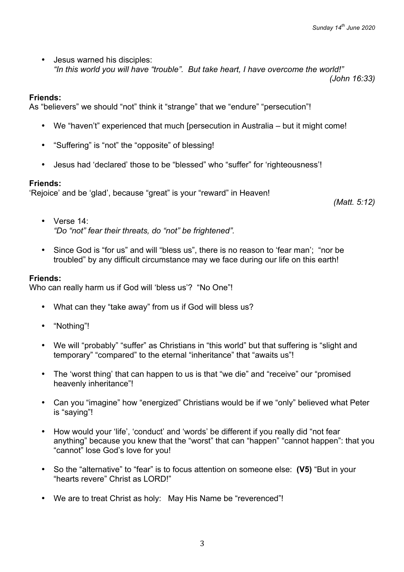*(John 16:33)*

• Jesus warned his disciples: *"In this world you will have "trouble". But take heart, I have overcome the world!"*

### **Friends:**

As "believers" we should "not" think it "strange" that we "endure" "persecution"!

- We "haven't" experienced that much [persecution in Australia but it might come!
- "Suffering" is "not" the "opposite" of blessing!
- Jesus had 'declared' those to be "blessed" who "suffer" for 'righteousness'!

## **Friends:**

'Rejoice' and be 'glad', because "great" is your "reward" in Heaven!

*(Matt. 5:12)*

- Verse 14: *"Do "not" fear their threats, do "not" be frightened".*
- Since God is "for us" and will "bless us", there is no reason to 'fear man'; "nor be troubled" by any difficult circumstance may we face during our life on this earth!

## **Friends:**

Who can really harm us if God will 'bless us'? "No One"!

- What can they "take away" from us if God will bless us?
- "Nothing"!
- We will "probably" "suffer" as Christians in "this world" but that suffering is "slight and temporary" "compared" to the eternal "inheritance" that "awaits us"!
- The 'worst thing' that can happen to us is that "we die" and "receive" our "promised heavenly inheritance"!
- Can you "imagine" how "energized" Christians would be if we "only" believed what Peter is "saying"!
- How would your 'life', 'conduct' and 'words' be different if you really did "not fear anything" because you knew that the "worst" that can "happen" "cannot happen": that you "cannot" lose God's love for you!
- So the "alternative" to "fear" is to focus attention on someone else: **(V5)** "But in your "hearts revere" Christ as LORD!"
- We are to treat Christ as holy: May His Name be "reverenced"!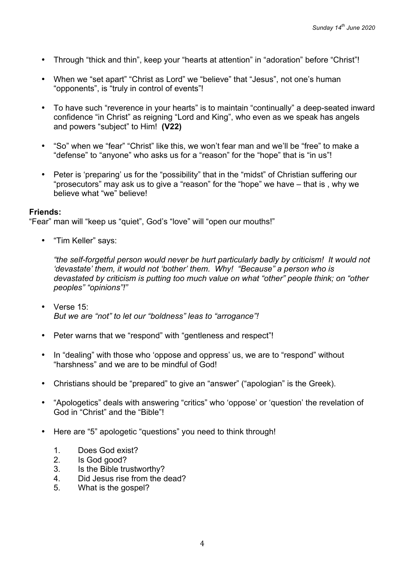- Through "thick and thin", keep your "hearts at attention" in "adoration" before "Christ"!
- When we "set apart" "Christ as Lord" we "believe" that "Jesus", not one's human "opponents", is "truly in control of events"!
- To have such "reverence in your hearts" is to maintain "continually" a deep-seated inward confidence "in Christ" as reigning "Lord and King", who even as we speak has angels and powers "subject" to Him! **(V22)**
- "So" when we "fear" "Christ" like this, we won't fear man and we'll be "free" to make a "defense" to "anyone" who asks us for a "reason" for the "hope" that is "in us"!
- Peter is 'preparing' us for the "possibility" that in the "midst" of Christian suffering our "prosecutors" may ask us to give a "reason" for the "hope" we have – that is , why we believe what "we" believe!

#### **Friends:**

"Fear" man will "keep us "quiet", God's "love" will "open our mouths!"

• "Tim Keller" says:

*"the self-forgetful person would never be hurt particularly badly by criticism! It would not 'devastate' them, it would not 'bother' them. Why! "Because" a person who is devastated by criticism is putting too much value on what "other" people think; on "other peoples" "opinions"!"*

- Verse 15: *But we are "not" to let our "boldness" leas to "arrogance"!*
- Peter warns that we "respond" with "gentleness and respect"!
- In "dealing" with those who 'oppose and oppress' us, we are to "respond" without "harshness" and we are to be mindful of God!
- Christians should be "prepared" to give an "answer" ("apologian" is the Greek).
- "Apologetics" deals with answering "critics" who 'oppose' or 'question' the revelation of God in "Christ" and the "Bible"!
- Here are "5" apologetic "questions" you need to think through!
	- 1. Does God exist?
	- 2. Is God good?
	- 3. Is the Bible trustworthy?
	- 4. Did Jesus rise from the dead?
	- 5. What is the gospel?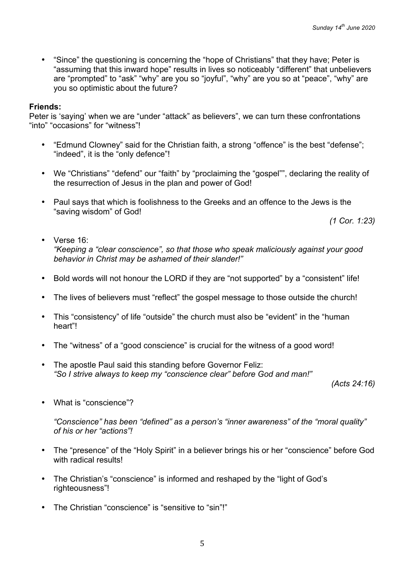• "Since" the questioning is concerning the "hope of Christians" that they have; Peter is "assuming that this inward hope" results in lives so noticeably "different" that unbelievers are "prompted" to "ask" "why" are you so "joyful", "why" are you so at "peace", "why" are you so optimistic about the future?

### **Friends:**

Peter is 'saying' when we are "under "attack" as believers", we can turn these confrontations "into" "occasions" for "witness"!

- "Edmund Clowney" said for the Christian faith, a strong "offence" is the best "defense"; "indeed", it is the "only defence"!
- We "Christians" "defend" our "faith" by "proclaiming the "gospel"", declaring the reality of the resurrection of Jesus in the plan and power of God!
- Paul says that which is foolishness to the Greeks and an offence to the Jews is the "saving wisdom" of God!

*(1 Cor. 1:23)*

- Verse 16<sup>·</sup> *"Keeping a "clear conscience", so that those who speak maliciously against your good behavior in Christ may be ashamed of their slander!"*
- Bold words will not honour the LORD if they are "not supported" by a "consistent" life!
- The lives of believers must "reflect" the gospel message to those outside the church!
- This "consistency" of life "outside" the church must also be "evident" in the "human heart"!
- The "witness" of a "good conscience" is crucial for the witness of a good word!
- The apostle Paul said this standing before Governor Feliz: *"So I strive always to keep my "conscience clear" before God and man!"*

*(Acts 24:16)*

• What is "conscience"?

*"Conscience" has been "defined" as a person's "inner awareness" of the "moral quality" of his or her "actions"!*

- The "presence" of the "Holy Spirit" in a believer brings his or her "conscience" before God with radical results!
- The Christian's "conscience" is informed and reshaped by the "light of God's righteousness"!
- The Christian "conscience" is "sensitive to "sin"!"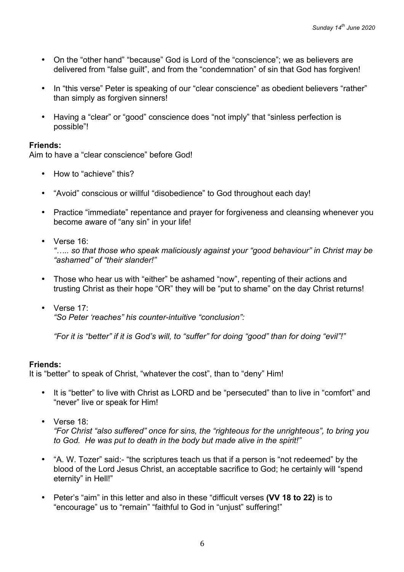- On the "other hand" "because" God is Lord of the "conscience"; we as believers are delivered from "false guilt", and from the "condemnation" of sin that God has forgiven!
- In "this verse" Peter is speaking of our "clear conscience" as obedient believers "rather" than simply as forgiven sinners!
- Having a "clear" or "good" conscience does "not imply" that "sinless perfection is possible"!

### **Friends:**

Aim to have a "clear conscience" before God!

- How to "achieve" this?
- "Avoid" conscious or willful "disobedience" to God throughout each day!
- Practice "immediate" repentance and prayer for forgiveness and cleansing whenever you become aware of "any sin" in your life!
- Verse 16:

*"….. so that those who speak maliciously against your "good behaviour" in Christ may be "ashamed" of "their slander!"*

- Those who hear us with "either" be ashamed "now", repenting of their actions and trusting Christ as their hope "OR" they will be "put to shame" on the day Christ returns!
- Verse 17: *"So Peter 'reaches" his counter-intuitive "conclusion":*

*"For it is "better" if it is God's will, to "suffer" for doing "good" than for doing "evil"!"*

### **Friends:**

It is "better" to speak of Christ, "whatever the cost", than to "deny" Him!

- It is "better" to live with Christ as LORD and be "persecuted" than to live in "comfort" and "never" live or speak for Him!
- Verse 18:

*"For Christ "also suffered" once for sins, the "righteous for the unrighteous", to bring you to God. He was put to death in the body but made alive in the spirit!"*

- "A. W. Tozer" said:- "the scriptures teach us that if a person is "not redeemed" by the blood of the Lord Jesus Christ, an acceptable sacrifice to God; he certainly will "spend eternity" in Hell!"
- Peter's "aim" in this letter and also in these "difficult verses **(VV 18 to 22)** is to "encourage" us to "remain" "faithful to God in "unjust" suffering!"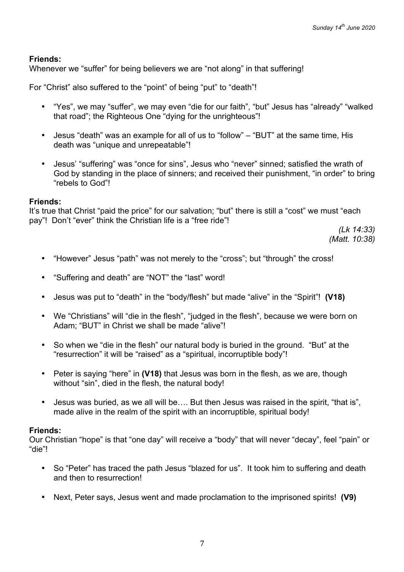## **Friends:**

Whenever we "suffer" for being believers we are "not along" in that suffering!

For "Christ" also suffered to the "point" of being "put" to "death"!

- "Yes", we may "suffer", we may even "die for our faith", "but" Jesus has "already" "walked that road"; the Righteous One "dying for the unrighteous"!
- Jesus "death" was an example for all of us to "follow" "BUT" at the same time, His death was "unique and unrepeatable"!
- Jesus' "suffering" was "once for sins", Jesus who "never" sinned; satisfied the wrath of God by standing in the place of sinners; and received their punishment, "in order" to bring "rebels to God"!

#### **Friends:**

It's true that Christ "paid the price" for our salvation; "but" there is still a "cost" we must "each pay"! Don't "ever" think the Christian life is a "free ride"!

> *(Lk 14:33) (Matt. 10:38)*

- "However" Jesus "path" was not merely to the "cross"; but "through" the cross!
- "Suffering and death" are "NOT" the "last" word!
- Jesus was put to "death" in the "body/flesh" but made "alive" in the "Spirit"! **(V18)**
- We "Christians" will "die in the flesh", "judged in the flesh", because we were born on Adam; "BUT" in Christ we shall be made "alive"!
- So when we "die in the flesh" our natural body is buried in the ground. "But" at the "resurrection" it will be "raised" as a "spiritual, incorruptible body"!
- Peter is saying "here" in **(V18)** that Jesus was born in the flesh, as we are, though without "sin", died in the flesh, the natural body!
- Jesus was buried, as we all will be…. But then Jesus was raised in the spirit, "that is", made alive in the realm of the spirit with an incorruptible, spiritual body!

### **Friends:**

Our Christian "hope" is that "one day" will receive a "body" that will never "decay", feel "pain" or "die"!

- So "Peter" has traced the path Jesus "blazed for us". It took him to suffering and death and then to resurrection!
- Next, Peter says, Jesus went and made proclamation to the imprisoned spirits! **(V9)**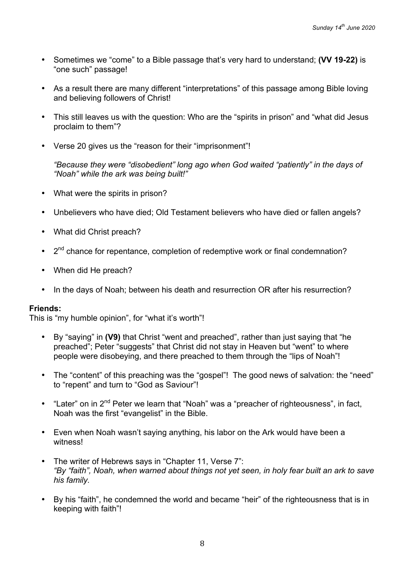- Sometimes we "come" to a Bible passage that's very hard to understand; **(VV 19-22)** is "one such" passage!
- As a result there are many different "interpretations" of this passage among Bible loving and believing followers of Christ!
- This still leaves us with the question: Who are the "spirits in prison" and "what did Jesus proclaim to them"?
- Verse 20 gives us the "reason for their "imprisonment"!

*"Because they were "disobedient" long ago when God waited "patiently" in the days of "Noah" while the ark was being built!"*

- What were the spirits in prison?
- Unbelievers who have died; Old Testament believers who have died or fallen angels?
- What did Christ preach?
- $\cdot$   $2^{nd}$  chance for repentance, completion of redemptive work or final condemnation?
- When did He preach?
- In the days of Noah; between his death and resurrection OR after his resurrection?

## **Friends:**

This is "my humble opinion", for "what it's worth"!

- By "saying" in **(V9)** that Christ "went and preached", rather than just saying that "he preached"; Peter "suggests" that Christ did not stay in Heaven but "went" to where people were disobeying, and there preached to them through the "lips of Noah"!
- The "content" of this preaching was the "gospel"! The good news of salvation: the "need" to "repent" and turn to "God as Saviour"!
- "Later" on in 2<sup>nd</sup> Peter we learn that "Noah" was a "preacher of righteousness", in fact, Noah was the first "evangelist" in the Bible.
- Even when Noah wasn't saying anything, his labor on the Ark would have been a witness!
- The writer of Hebrews says in "Chapter 11, Verse 7": *"By "faith", Noah, when warned about things not yet seen, in holy fear built an ark to save his family.*
- By his "faith", he condemned the world and became "heir" of the righteousness that is in keeping with faith"!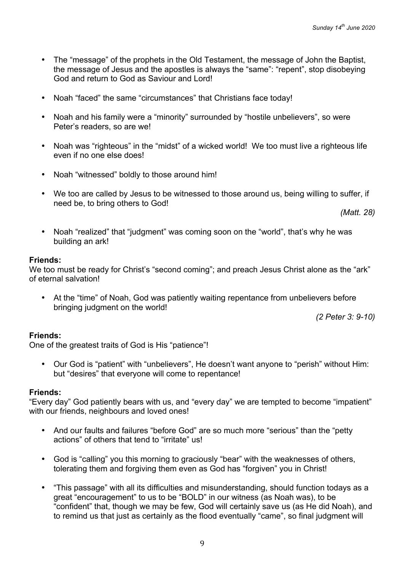- The "message" of the prophets in the Old Testament, the message of John the Baptist, the message of Jesus and the apostles is always the "same": "repent", stop disobeying God and return to God as Saviour and Lord!
- Noah "faced" the same "circumstances" that Christians face today!
- Noah and his family were a "minority" surrounded by "hostile unbelievers", so were Peter's readers, so are we!
- Noah was "righteous" in the "midst" of a wicked world! We too must live a righteous life even if no one else does!
- Noah "witnessed" boldly to those around him!
- We too are called by Jesus to be witnessed to those around us, being willing to suffer, if need be, to bring others to God!

*(Matt. 28)*

• Noah "realized" that "judgment" was coming soon on the "world", that's why he was building an ark!

#### **Friends:**

We too must be ready for Christ's "second coming"; and preach Jesus Christ alone as the "ark" of eternal salvation!

• At the "time" of Noah, God was patiently waiting repentance from unbelievers before bringing judgment on the world!

*(2 Peter 3: 9-10)*

### **Friends:**

One of the greatest traits of God is His "patience"!

• Our God is "patient" with "unbelievers", He doesn't want anyone to "perish" without Him: but "desires" that everyone will come to repentance!

### **Friends:**

"Every day" God patiently bears with us, and "every day" we are tempted to become "impatient" with our friends, neighbours and loved ones!

- And our faults and failures "before God" are so much more "serious" than the "petty actions" of others that tend to "irritate" us!
- God is "calling" you this morning to graciously "bear" with the weaknesses of others, tolerating them and forgiving them even as God has "forgiven" you in Christ!
- "This passage" with all its difficulties and misunderstanding, should function todays as a great "encouragement" to us to be "BOLD" in our witness (as Noah was), to be "confident" that, though we may be few, God will certainly save us (as He did Noah), and to remind us that just as certainly as the flood eventually "came", so final judgment will